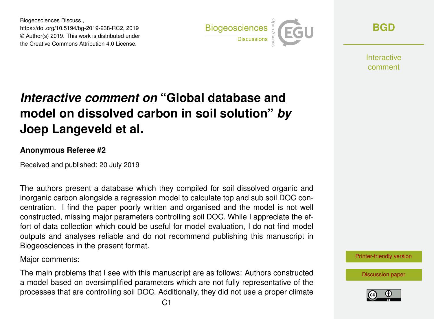Biogeosciences Discuss., https://doi.org/10.5194/bg-2019-238-RC2, 2019 © Author(s) 2019. This work is distributed under the Creative Commons Attribution 4.0 License.



**[BGD](https://www.biogeosciences-discuss.net/)**

**Interactive** comment

# *Interactive comment on* **"Global database and model on dissolved carbon in soil solution"** *by* **Joep Langeveld et al.**

### **Anonymous Referee #2**

Received and published: 20 July 2019

The authors present a database which they compiled for soil dissolved organic and inorganic carbon alongside a regression model to calculate top and sub soil DOC concentration. I find the paper poorly written and organised and the model is not well constructed, missing major parameters controlling soil DOC. While I appreciate the effort of data collection which could be useful for model evaluation, I do not find model outputs and analyses reliable and do not recommend publishing this manuscript in Biogeosciences in the present format.

Major comments:

The main problems that I see with this manuscript are as follows: Authors constructed a model based on oversimplified parameters which are not fully representative of the processes that are controlling soil DOC. Additionally, they did not use a proper climate [Printer-friendly version](https://www.biogeosciences-discuss.net/bg-2019-238/bg-2019-238-RC2-print.pdf)

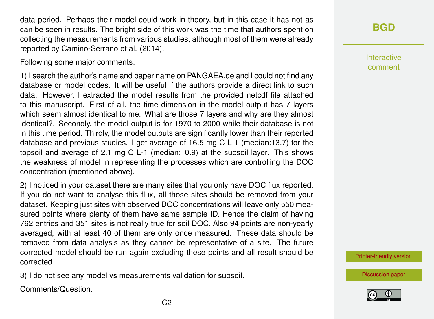data period. Perhaps their model could work in theory, but in this case it has not as can be seen in results. The bright side of this work was the time that authors spent on collecting the measurements from various studies, although most of them were already reported by Camino-Serrano et al. (2014).

Following some major comments:

1) I search the author's name and paper name on PANGAEA.de and I could not find any database or model codes. It will be useful if the authors provide a direct link to such data. However, I extracted the model results from the provided netcdf file attached to this manuscript. First of all, the time dimension in the model output has 7 layers which seem almost identical to me. What are those 7 layers and why are they almost identical?. Secondly, the model output is for 1970 to 2000 while their database is not in this time period. Thirdly, the model outputs are significantly lower than their reported database and previous studies. I get average of 16.5 mg C L-1 (median:13.7) for the topsoil and average of 2.1 mg C L-1 (median: 0.9) at the subsoil layer. This shows the weakness of model in representing the processes which are controlling the DOC concentration (mentioned above).

2) I noticed in your dataset there are many sites that you only have DOC flux reported. If you do not want to analyse this flux, all those sites should be removed from your dataset. Keeping just sites with observed DOC concentrations will leave only 550 measured points where plenty of them have same sample ID. Hence the claim of having 762 entries and 351 sites is not really true for soil DOC. Also 94 points are non-yearly averaged, with at least 40 of them are only once measured. These data should be removed from data analysis as they cannot be representative of a site. The future corrected model should be run again excluding these points and all result should be corrected.

3) I do not see any model vs measurements validation for subsoil.

Comments/Question:

Interactive comment

[Printer-friendly version](https://www.biogeosciences-discuss.net/bg-2019-238/bg-2019-238-RC2-print.pdf)

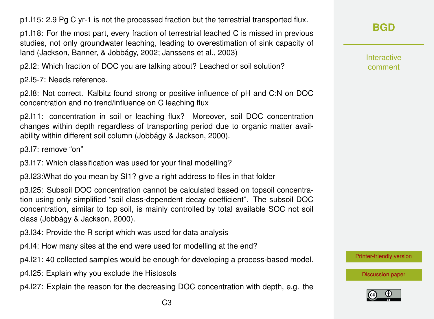p1.l15: 2.9 Pg C yr-1 is not the processed fraction but the terrestrial transported flux.

p1.l18: For the most part, every fraction of terrestrial leached C is missed in previous studies, not only groundwater leaching, leading to overestimation of sink capacity of land (Jackson, Banner, & Jobbágy, 2002; Janssens et al., 2003)

p2.l2: Which fraction of DOC you are talking about? Leached or soil solution?

p2.l5-7: Needs reference.

p2.l8: Not correct. Kalbitz found strong or positive influence of pH and C:N on DOC concentration and no trend/influence on C leaching flux

p2.l11: concentration in soil or leaching flux? Moreover, soil DOC concentration changes within depth regardless of transporting period due to organic matter availability within different soil column (Jobbágy & Jackson, 2000).

p3.l7: remove "on"

p3.l17: Which classification was used for your final modelling?

p3.l23:What do you mean by SI1? give a right address to files in that folder

p3.l25: Subsoil DOC concentration cannot be calculated based on topsoil concentration using only simplified "soil class-dependent decay coefficient". The subsoil DOC concentration, similar to top soil, is mainly controlled by total available SOC not soil class (Jobbágy & Jackson, 2000).

p3.l34: Provide the R script which was used for data analysis

p4.l4: How many sites at the end were used for modelling at the end?

p4.l21: 40 collected samples would be enough for developing a process-based model.

- p4.l25: Explain why you exclude the Histosols
- p4.l27: Explain the reason for the decreasing DOC concentration with depth, e.g. the

Interactive comment

[Printer-friendly version](https://www.biogeosciences-discuss.net/bg-2019-238/bg-2019-238-RC2-print.pdf)

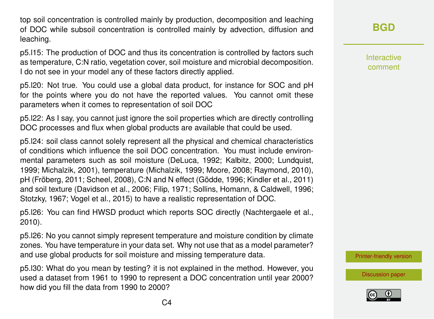top soil concentration is controlled mainly by production, decomposition and leaching of DOC while subsoil concentration is controlled mainly by advection, diffusion and leaching.

p5.l15: The production of DOC and thus its concentration is controlled by factors such as temperature, C:N ratio, vegetation cover, soil moisture and microbial decomposition. I do not see in your model any of these factors directly applied.

p5.l20: Not true. You could use a global data product, for instance for SOC and pH for the points where you do not have the reported values. You cannot omit these parameters when it comes to representation of soil DOC

p5.l22: As I say, you cannot just ignore the soil properties which are directly controlling DOC processes and flux when global products are available that could be used.

p5.l24: soil class cannot solely represent all the physical and chemical characteristics of conditions which influence the soil DOC concentration. You must include environmental parameters such as soil moisture (DeLuca, 1992; Kalbitz, 2000; Lundquist, 1999; Michalzik, 2001), temperature (Michalzik, 1999; Moore, 2008; Raymond, 2010), pH (Fröberg, 2011; Scheel, 2008), C:N and N effect (Gödde, 1996; Kindler et al., 2011) and soil texture (Davidson et al., 2006; Filip, 1971; Sollins, Homann, & Caldwell, 1996; Stotzky, 1967; Vogel et al., 2015) to have a realistic representation of DOC.

p5.l26: You can find HWSD product which reports SOC directly (Nachtergaele et al., 2010).

p5.l26: No you cannot simply represent temperature and moisture condition by climate zones. You have temperature in your data set. Why not use that as a model parameter? and use global products for soil moisture and missing temperature data.

p5.l30: What do you mean by testing? it is not explained in the method. However, you used a dataset from 1961 to 1990 to represent a DOC concentration until year 2000? how did you fill the data from 1990 to 2000?

# **[BGD](https://www.biogeosciences-discuss.net/)**

Interactive comment

[Printer-friendly version](https://www.biogeosciences-discuss.net/bg-2019-238/bg-2019-238-RC2-print.pdf)

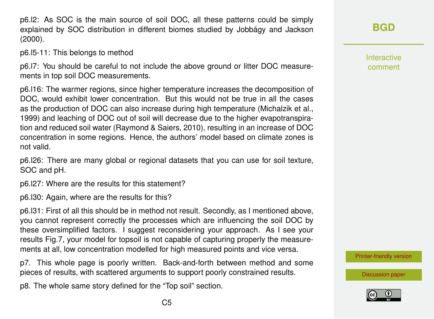p6.l2: As SOC is the main source of soil DOC, all these patterns could be simply explained by SOC distribution in different biomes studied by Jobbágy and Jackson (2000).

p6.l5-11: This belongs to method

p6.l7: You should be careful to not include the above ground or litter DOC measurements in top soil DOC measurements.

p6.l16: The warmer regions, since higher temperature increases the decomposition of DOC, would exhibit lower concentration. But this would not be true in all the cases as the production of DOC can also increase during high temperature (Michalzik et al., 1999) and leaching of DOC out of soil will decrease due to the higher evapotranspiration and reduced soil water (Raymond & Saiers, 2010), resulting in an increase of DOC concentration in some regions. Hence, the authors' model based on climate zones is not valid.

p6.l26: There are many global or regional datasets that you can use for soil texture, SOC and pH.

p6.l27: Where are the results for this statement?

p6.l30: Again, where are the results for this?

p6.l31: First of all this should be in method not result. Secondly, as I mentioned above, you cannot represent correctly the processes which are influencing the soil DOC by these oversimplified factors. I suggest reconsidering your approach. As I see your results Fig.7, your model for topsoil is not capable of capturing properly the measurements at all, low concentration modelled for high measured points and vice versa.

p7. This whole page is poorly written. Back-and-forth between method and some pieces of results, with scattered arguments to support poorly constrained results.

p8. The whole same story defined for the "Top soil" section.

Interactive comment

[Printer-friendly version](https://www.biogeosciences-discuss.net/bg-2019-238/bg-2019-238-RC2-print.pdf)

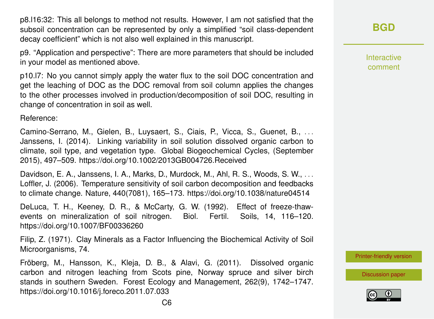p8.l16:32: This all belongs to method not results. However, I am not satisfied that the subsoil concentration can be represented by only a simplified "soil class-dependent decay coefficient" which is not also well explained in this manuscript.

p9. "Application and perspective": There are more parameters that should be included in your model as mentioned above.

p10.l7: No you cannot simply apply the water flux to the soil DOC concentration and get the leaching of DOC as the DOC removal from soil column applies the changes to the other processes involved in production/decomposition of soil DOC, resulting in change of concentration in soil as well.

Reference:

Camino-Serrano, M., Gielen, B., Luysaert, S., Ciais, P., Vicca, S., Guenet, B., ... Janssens, I. (2014). Linking variability in soil solution dissolved organic carbon to climate, soil type, and vegetation type. Global Biogeochemical Cycles, (September 2015), 497–509. https://doi.org/10.1002/2013GB004726.Received

Davidson, E. A., Janssens, I. A., Marks, D., Murdock, M., Ahl, R. S., Woods, S. W., . . . Loffler, J. (2006). Temperature sensitivity of soil carbon decomposition and feedbacks to climate change. Nature, 440(7081), 165–173. https://doi.org/10.1038/nature04514

DeLuca, T. H., Keeney, D. R., & McCarty, G. W. (1992). Effect of freeze-thawevents on mineralization of soil nitrogen. Biol. Fertil. Soils, 14, 116–120. https://doi.org/10.1007/BF00336260

Filip, Z. (1971). Clay Minerals as a Factor Influencing the Biochemical Activity of Soil Microorganisms, 74.

Fröberg, M., Hansson, K., Kleja, D. B., & Alavi, G. (2011). Dissolved organic carbon and nitrogen leaching from Scots pine, Norway spruce and silver birch stands in southern Sweden. Forest Ecology and Management, 262(9), 1742–1747. https://doi.org/10.1016/j.foreco.2011.07.033

**[BGD](https://www.biogeosciences-discuss.net/)**

Interactive comment

[Printer-friendly version](https://www.biogeosciences-discuss.net/bg-2019-238/bg-2019-238-RC2-print.pdf)

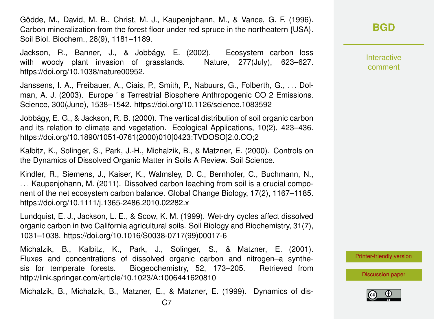Gödde, M., David, M. B., Christ, M. J., Kaupenjohann, M., & Vance, G. F. (1996). Carbon mineralization from the forest floor under red spruce in the northeatern {USA}. Soil Biol. Biochem., 28(9), 1181–1189.

Jackson, R., Banner, J., & Jobbágy, E. (2002). Ecosystem carbon loss with woody plant invasion of grasslands. Nature, 277(July), 623–627. https://doi.org/10.1038/nature00952.

Janssens, I. A., Freibauer, A., Ciais, P., Smith, P., Nabuurs, G., Folberth, G., . . . Dolman, A. J. (2003). Europe ' s Terrestrial Biosphere Anthropogenic CO 2 Emissions. Science, 300(June), 1538–1542. https://doi.org/10.1126/science.1083592

Jobbágy, E. G., & Jackson, R. B. (2000). The vertical distribution of soil organic carbon and its relation to climate and vegetation. Ecological Applications, 10(2), 423–436. https://doi.org/10.1890/1051-0761(2000)010[0423:TVDOSO]2.0.CO;2

Kalbitz, K., Solinger, S., Park, J.-H., Michalzik, B., & Matzner, E. (2000). Controls on the Dynamics of Dissolved Organic Matter in Soils A Review. Soil Science.

Kindler, R., Siemens, J., Kaiser, K., Walmsley, D. C., Bernhofer, C., Buchmann, N., . . . Kaupenjohann, M. (2011). Dissolved carbon leaching from soil is a crucial component of the net ecosystem carbon balance. Global Change Biology, 17(2), 1167–1185. https://doi.org/10.1111/j.1365-2486.2010.02282.x

Lundquist, E. J., Jackson, L. E., & Scow, K. M. (1999). Wet-dry cycles affect dissolved organic carbon in two California agricultural soils. Soil Biology and Biochemistry, 31(7), 1031–1038. https://doi.org/10.1016/S0038-0717(99)00017-6

Michalzik, B., Kalbitz, K., Park, J., Solinger, S., & Matzner, E. (2001). Fluxes and concentrations of dissolved organic carbon and nitrogen–a synthesis for temperate forests. Biogeochemistry, 52, 173–205. Retrieved from http://link.springer.com/article/10.1023/A:1006441620810

Michalzik, B., Michalzik, B., Matzner, E., & Matzner, E. (1999). Dynamics of dis-

Interactive comment

[Printer-friendly version](https://www.biogeosciences-discuss.net/bg-2019-238/bg-2019-238-RC2-print.pdf)

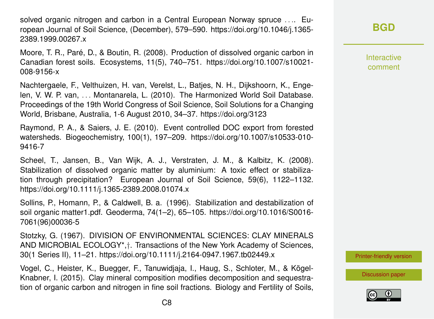solved organic nitrogen and carbon in a Central European Norway spruce .... European Journal of Soil Science, (December), 579–590. https://doi.org/10.1046/j.1365- 2389.1999.00267.x

Moore, T. R., Paré, D., & Boutin, R. (2008). Production of dissolved organic carbon in Canadian forest soils. Ecosystems, 11(5), 740–751. https://doi.org/10.1007/s10021- 008-9156-x

Nachtergaele, F., Velthuizen, H. van, Verelst, L., Batjes, N. H., Dijkshoorn, K., Engelen, V. W. P. van, . . . Montanarela, L. (2010). The Harmonized World Soil Database. Proceedings of the 19th World Congress of Soil Science, Soil Solutions for a Changing World, Brisbane, Australia, 1-6 August 2010, 34–37. https://doi.org/3123

Raymond, P. A., & Saiers, J. E. (2010). Event controlled DOC export from forested watersheds. Biogeochemistry, 100(1), 197–209. https://doi.org/10.1007/s10533-010- 9416-7

Scheel, T., Jansen, B., Van Wijk, A. J., Verstraten, J. M., & Kalbitz, K. (2008). Stabilization of dissolved organic matter by aluminium: A toxic effect or stabilization through precipitation? European Journal of Soil Science, 59(6), 1122–1132. https://doi.org/10.1111/j.1365-2389.2008.01074.x

Sollins, P., Homann, P., & Caldwell, B. a. (1996). Stabilization and destabilization of soil organic matter1.pdf. Geoderma, 74(1–2), 65–105. https://doi.org/10.1016/S0016- 7061(96)00036-5

Stotzky, G. (1967). DIVISION OF ENVIRONMENTAL SCIENCES: CLAY MINERALS AND MICROBIAL ECOLOGY\*,†. Transactions of the New York Academy of Sciences, 30(1 Series II), 11–21. https://doi.org/10.1111/j.2164-0947.1967.tb02449.x

Vogel, C., Heister, K., Buegger, F., Tanuwidjaja, I., Haug, S., Schloter, M., & Kögel-Knabner, I. (2015). Clay mineral composition modifies decomposition and sequestration of organic carbon and nitrogen in fine soil fractions. Biology and Fertility of Soils, **[BGD](https://www.biogeosciences-discuss.net/)**

Interactive comment

[Printer-friendly version](https://www.biogeosciences-discuss.net/bg-2019-238/bg-2019-238-RC2-print.pdf)